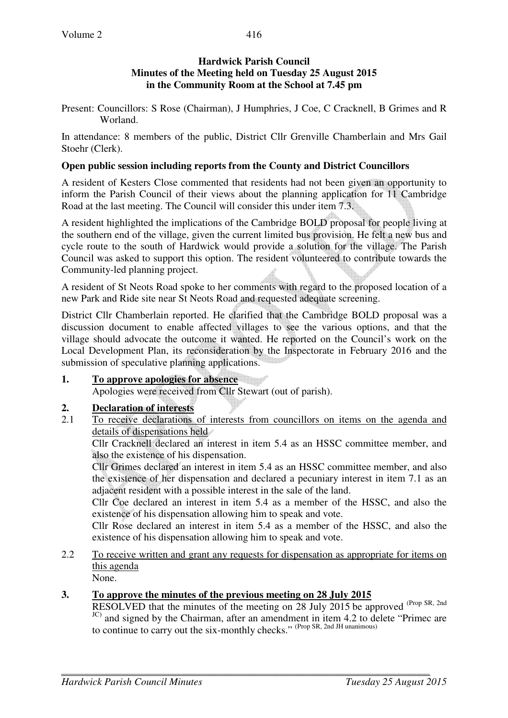## **Hardwick Parish Council Minutes of the Meeting held on Tuesday 25 August 2015 in the Community Room at the School at 7.45 pm**

Present: Councillors: S Rose (Chairman), J Humphries, J Coe, C Cracknell, B Grimes and R Worland.

In attendance: 8 members of the public, District Cllr Grenville Chamberlain and Mrs Gail Stoehr (Clerk).

### **Open public session including reports from the County and District Councillors**

A resident of Kesters Close commented that residents had not been given an opportunity to inform the Parish Council of their views about the planning application for 11 Cambridge Road at the last meeting. The Council will consider this under item 7.3.

A resident highlighted the implications of the Cambridge BOLD proposal for people living at the southern end of the village, given the current limited bus provision. He felt a new bus and cycle route to the south of Hardwick would provide a solution for the village. The Parish Council was asked to support this option. The resident volunteered to contribute towards the Community-led planning project.

A resident of St Neots Road spoke to her comments with regard to the proposed location of a new Park and Ride site near St Neots Road and requested adequate screening.

District Cllr Chamberlain reported. He clarified that the Cambridge BOLD proposal was a discussion document to enable affected villages to see the various options, and that the village should advocate the outcome it wanted. He reported on the Council's work on the Local Development Plan, its reconsideration by the Inspectorate in February 2016 and the submission of speculative planning applications.

# **1. To approve apologies for absence**

Apologies were received from Cllr Stewart (out of parish).

# **2. Declaration of interests**

2.1 To receive declarations of interests from councillors on items on the agenda and details of dispensations held

Cllr Cracknell declared an interest in item 5.4 as an HSSC committee member, and also the existence of his dispensation.

Cllr Grimes declared an interest in item 5.4 as an HSSC committee member, and also the existence of her dispensation and declared a pecuniary interest in item 7.1 as an adjacent resident with a possible interest in the sale of the land.

Cllr Coe declared an interest in item 5.4 as a member of the HSSC, and also the existence of his dispensation allowing him to speak and vote.

Cllr Rose declared an interest in item 5.4 as a member of the HSSC, and also the existence of his dispensation allowing him to speak and vote.

2.2 To receive written and grant any requests for dispensation as appropriate for items on this agenda

None.

# **3. To approve the minutes of the previous meeting on 28 July 2015**

RESOLVED that the minutes of the meeting on 28 July 2015 be approved (Prop SR, 2nd) JC) and signed by the Chairman, after an amendment in item 4.2 to delete "Primec are to continue to carry out the six-monthly checks." (Prop SR, 2nd JH unanimous)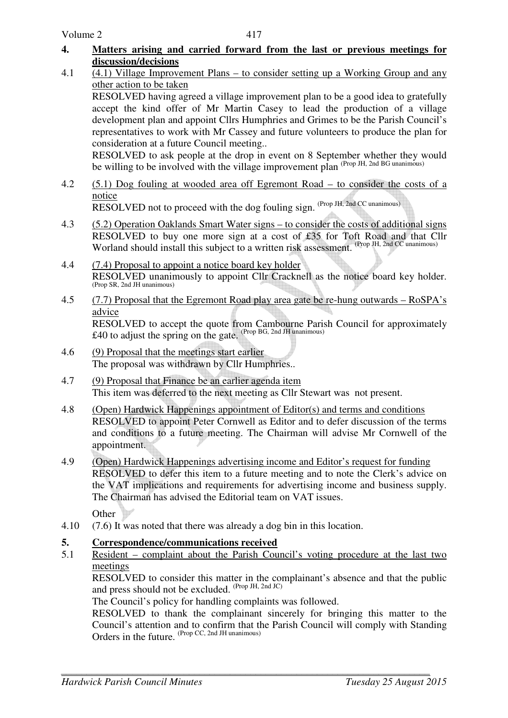- **4. Matters arising and carried forward from the last or previous meetings for discussion/decisions**
- 4.1 (4.1) Village Improvement Plans to consider setting up a Working Group and any other action to be taken

RESOLVED having agreed a village improvement plan to be a good idea to gratefully accept the kind offer of Mr Martin Casey to lead the production of a village development plan and appoint Cllrs Humphries and Grimes to be the Parish Council's representatives to work with Mr Cassey and future volunteers to produce the plan for consideration at a future Council meeting..

RESOLVED to ask people at the drop in event on 8 September whether they would be willing to be involved with the village improvement plan (Prop JH, 2nd BG unanimous)

4.2 (5.1) Dog fouling at wooded area off Egremont Road – to consider the costs of a notice RESOLVED not to proceed with the dog fouling sign. (Prop JH, 2nd CC unanimous)

4.3 (5.2) Operation Oaklands Smart Water signs – to consider the costs of additional signs RESOLVED to buy one more sign at a cost of £35 for Toft Road and that Cllr Worland should install this subject to a written risk assessment. (Prop JH, 2nd CC unanimous)

- 4.4 (7.4) Proposal to appoint a notice board key holder RESOLVED unanimously to appoint Cllr Cracknell as the notice board key holder. (Prop SR, 2nd JH unanimous)
- 4.5  $(7.7)$  Proposal that the Egremont Road play area gate be re-hung outwards RoSPA's advice RESOLVED to accept the quote from Cambourne Parish Council for approximately £40 to adjust the spring on the gate. (Prop BG, 2nd JH unanimous)
- 4.6 (9) Proposal that the meetings start earlier The proposal was withdrawn by Cllr Humphries..
- 4.7 (9) Proposal that Finance be an earlier agenda item This item was deferred to the next meeting as Cllr Stewart was not present.
- 4.8 (Open) Hardwick Happenings appointment of Editor(s) and terms and conditions RESOLVED to appoint Peter Cornwell as Editor and to defer discussion of the terms and conditions to a future meeting. The Chairman will advise Mr Cornwell of the appointment.
- 4.9 (Open) Hardwick Happenings advertising income and Editor's request for funding RESOLVED to defer this item to a future meeting and to note the Clerk's advice on the VAT implications and requirements for advertising income and business supply. The Chairman has advised the Editorial team on VAT issues.

**Other** 

4.10 (7.6) It was noted that there was already a dog bin in this location.

# **5. Correspondence/communications received**

5.1 Resident – complaint about the Parish Council's voting procedure at the last two meetings

 RESOLVED to consider this matter in the complainant's absence and that the public and press should not be excluded.  $(\text{Prop }JH, 2nd JC)$ 

The Council's policy for handling complaints was followed.

RESOLVED to thank the complainant sincerely for bringing this matter to the Council's attention and to confirm that the Parish Council will comply with Standing Orders in the future. (Prop CC, 2nd JH unanimous)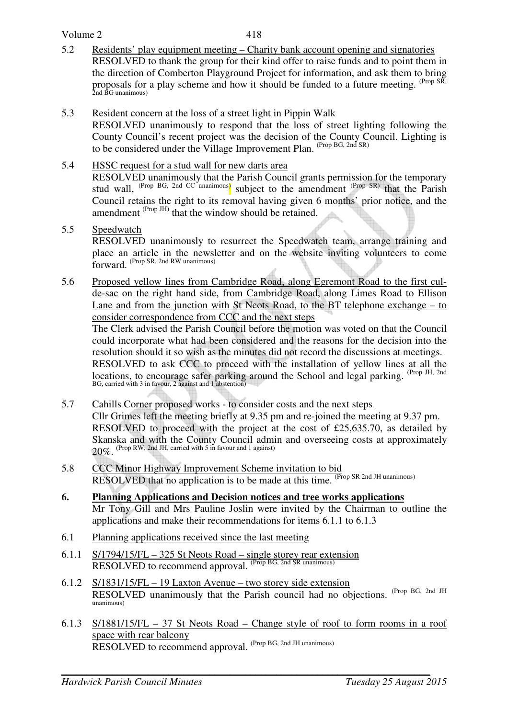#### Volume 2

- 5.2 Residents' play equipment meeting Charity bank account opening and signatories RESOLVED to thank the group for their kind offer to raise funds and to point them in the direction of Comberton Playground Project for information, and ask them to bring proposals for a play scheme and how it should be funded to a future meeting. <sup>(Prop SR, 2nd BG unanimous)</sup>
- 5.3 Resident concern at the loss of a street light in Pippin Walk

RESOLVED unanimously to respond that the loss of street lighting following the County Council's recent project was the decision of the County Council. Lighting is to be considered under the Village Improvement Plan. (Prop BG, 2nd SR)

5.4 HSSC request for a stud wall for new darts area

 RESOLVED unanimously that the Parish Council grants permission for the temporary stud wall, <sup>(Prop BG, 2nd CC unanimous)</sup> subject to the amendment <sup>(Prop SR)</sup> that the Parish Council retains the right to its removal having given 6 months' prior notice, and the amendment  $^{(Prop\ JH)}$  that the window should be retained.

### 5.5 Speedwatch

 RESOLVED unanimously to resurrect the Speedwatch team, arrange training and place an article in the newsletter and on the website inviting volunteers to come forward. (Prop SR, 2nd RW unanimous)

5.6 Proposed yellow lines from Cambridge Road, along Egremont Road to the first culde-sac on the right hand side, from Cambridge Road, along Limes Road to Ellison Lane and from the junction with St Neots Road, to the BT telephone exchange – to consider correspondence from CCC and the next steps

 The Clerk advised the Parish Council before the motion was voted on that the Council could incorporate what had been considered and the reasons for the decision into the resolution should it so wish as the minutes did not record the discussions at meetings. RESOLVED to ask CCC to proceed with the installation of yellow lines at all the locations, to encourage safer parking around the School and legal parking. <sup>(Prop JH, 2nd</sup> BG, carried with 3 in favour, 2 against and 1 abstention)

- 5.7 Cahills Corner proposed works to consider costs and the next steps Cllr Grimes left the meeting briefly at 9.35 pm and re-joined the meeting at 9.37 pm. RESOLVED to proceed with the project at the cost of £25,635.70, as detailed by Skanska and with the County Council admin and overseeing costs at approximately 20%. (Prop RW, 2nd JH, carried with 5 in favour and 1 against)
- 5.8 CCC Minor Highway Improvement Scheme invitation to bid RESOLVED that no application is to be made at this time. <sup>(Prop SR 2nd JH unanimous)</sup>
- **6. Planning Applications and Decision notices and tree works applications** Mr Tony Gill and Mrs Pauline Joslin were invited by the Chairman to outline the applications and make their recommendations for items 6.1.1 to 6.1.3
- 6.1 Planning applications received since the last meeting
- 6.1.1 S/1794/15/FL 325 St Neots Road single storey rear extension RESOLVED to recommend approval. (Prop BG, 2nd SR unanimous)
- 6.1.2 S/1831/15/FL 19 Laxton Avenue two storey side extension RESOLVED unanimously that the Parish council had no objections. (Prop BG, 2nd JH unanimous)
- 6.1.3 S/1881/15/FL 37 St Neots Road Change style of roof to form rooms in a roof space with rear balcony RESOLVED to recommend approval. (Prop BG, 2nd JH unanimous)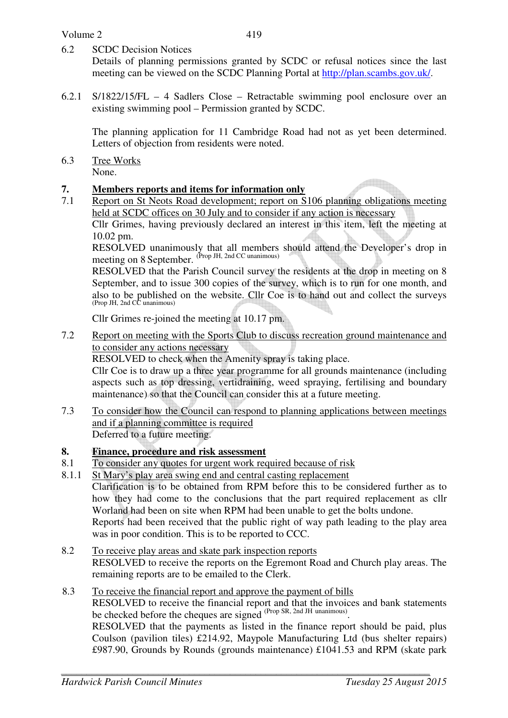6.2 SCDC Decision Notices

Details of planning permissions granted by SCDC or refusal notices since the last meeting can be viewed on the SCDC Planning Portal at http://plan.scambs.gov.uk/.

6.2.1 S/1822/15/FL – 4 Sadlers Close – Retractable swimming pool enclosure over an existing swimming pool – Permission granted by SCDC.

The planning application for 11 Cambridge Road had not as yet been determined. Letters of objection from residents were noted.

6.3 Tree Works None.

#### **7. Members reports and items for information only**

7.1 Report on St Neots Road development; report on S106 planning obligations meeting held at SCDC offices on 30 July and to consider if any action is necessary

Cllr Grimes, having previously declared an interest in this item, left the meeting at 10.02 pm.

RESOLVED unanimously that all members should attend the Developer's drop in meeting on 8 September. (Prop JH, 2nd CC unanimous)

RESOLVED that the Parish Council survey the residents at the drop in meeting on 8 September, and to issue 300 copies of the survey, which is to run for one month, and also to be published on the website. Cllr Coe is to hand out and collect the surveys (Prop JH, 2nd CC unanimous)

Cllr Grimes re-joined the meeting at 10.17 pm.

7.2 Report on meeting with the Sports Club to discuss recreation ground maintenance and to consider any actions necessary

RESOLVED to check when the Amenity spray is taking place.

Cllr Coe is to draw up a three year programme for all grounds maintenance (including aspects such as top dressing, vertidraining, weed spraying, fertilising and boundary maintenance) so that the Council can consider this at a future meeting.

7.3 To consider how the Council can respond to planning applications between meetings and if a planning committee is required Deferred to a future meeting.

#### **8. Finance, procedure and risk assessment**

- 8.1 To consider any quotes for urgent work required because of risk
- 8.1.1 St Mary's play area swing end and central casting replacement

 Clarification is to be obtained from RPM before this to be considered further as to how they had come to the conclusions that the part required replacement as cllr Worland had been on site when RPM had been unable to get the bolts undone. Reports had been received that the public right of way path leading to the play area

was in poor condition. This is to be reported to CCC.

8.2 To receive play areas and skate park inspection reports RESOLVED to receive the reports on the Egremont Road and Church play areas. The remaining reports are to be emailed to the Clerk.

#### 8.3 To receive the financial report and approve the payment of bills

RESOLVED to receive the financial report and that the invoices and bank statements be checked before the cheques are signed <sup>(Prop SR, 2nd JH unanimous)</sup>.

RESOLVED that the payments as listed in the finance report should be paid, plus Coulson (pavilion tiles) £214.92, Maypole Manufacturing Ltd (bus shelter repairs) £987.90, Grounds by Rounds (grounds maintenance) £1041.53 and RPM (skate park